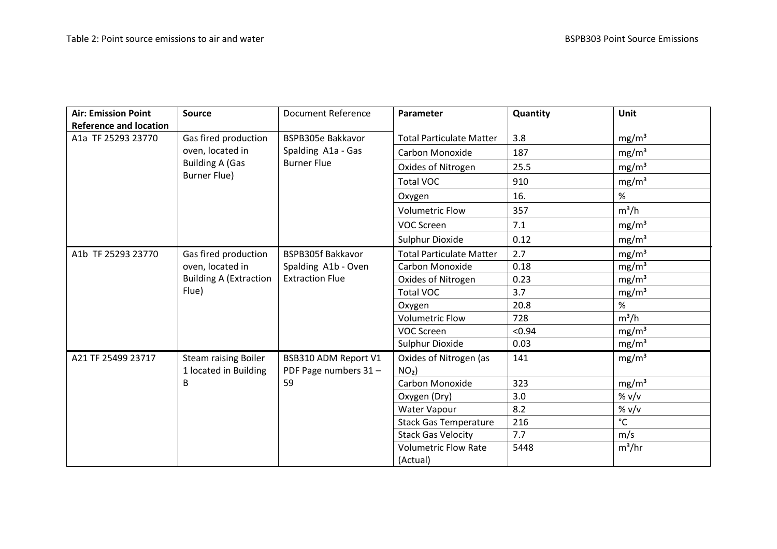| <b>Air: Emission Point</b>    | <b>Source</b>                                                                             | <b>Document Reference</b>                                     | Parameter                       | Quantity | Unit              |
|-------------------------------|-------------------------------------------------------------------------------------------|---------------------------------------------------------------|---------------------------------|----------|-------------------|
| <b>Reference and location</b> |                                                                                           |                                                               |                                 |          |                   |
| A1a TF 25293 23770            | Gas fired production<br>oven, located in<br><b>Building A (Gas</b><br><b>Burner Flue)</b> | BSPB305e Bakkavor<br>Spalding A1a - Gas<br><b>Burner Flue</b> | <b>Total Particulate Matter</b> | 3.8      | mg/m <sup>3</sup> |
|                               |                                                                                           |                                                               | <b>Carbon Monoxide</b>          | 187      | mg/m <sup>3</sup> |
|                               |                                                                                           |                                                               | Oxides of Nitrogen              | 25.5     | mg/m <sup>3</sup> |
|                               |                                                                                           |                                                               | <b>Total VOC</b>                | 910      | mg/m <sup>3</sup> |
|                               |                                                                                           |                                                               | Oxygen                          | 16.      | %                 |
|                               |                                                                                           |                                                               | <b>Volumetric Flow</b>          | 357      | $m^3/h$           |
|                               |                                                                                           |                                                               | VOC Screen                      | 7.1      | mg/m <sup>3</sup> |
|                               |                                                                                           |                                                               | Sulphur Dioxide                 | 0.12     | mg/m <sup>3</sup> |
| A1b TF 25293 23770            | Gas fired production                                                                      | <b>BSPB305f Bakkavor</b>                                      | <b>Total Particulate Matter</b> | 2.7      | mg/m <sup>3</sup> |
|                               | oven, located in                                                                          | Spalding A1b - Oven                                           | Carbon Monoxide                 | 0.18     | mg/m <sup>3</sup> |
|                               | <b>Building A (Extraction</b>                                                             | <b>Extraction Flue</b>                                        | Oxides of Nitrogen              | 0.23     | mg/m <sup>3</sup> |
|                               | Flue)                                                                                     |                                                               | <b>Total VOC</b>                | 3.7      | mg/m <sup>3</sup> |
|                               |                                                                                           |                                                               | Oxygen                          | 20.8     | %                 |
|                               |                                                                                           |                                                               | <b>Volumetric Flow</b>          | 728      | $m^3/h$           |
|                               |                                                                                           |                                                               | VOC Screen                      | < 0.94   | mg/m <sup>3</sup> |
|                               |                                                                                           |                                                               | Sulphur Dioxide                 | 0.03     | mg/m <sup>3</sup> |
| A21 TF 25499 23717            | <b>Steam raising Boiler</b>                                                               | BSB310 ADM Report V1                                          | Oxides of Nitrogen (as          | 141      | mg/m <sup>3</sup> |
|                               | 1 located in Building                                                                     | PDF Page numbers 31-                                          | $NO2$ )                         |          |                   |
|                               | B                                                                                         | 59                                                            | Carbon Monoxide                 | 323      | mg/m <sup>3</sup> |
|                               |                                                                                           |                                                               | Oxygen (Dry)                    | 3.0      | % v/v             |
|                               |                                                                                           |                                                               | Water Vapour                    | 8.2      | % v/v             |
|                               |                                                                                           |                                                               | <b>Stack Gas Temperature</b>    | 216      | $^{\circ}$ C      |
|                               |                                                                                           |                                                               | <b>Stack Gas Velocity</b>       | 7.7      | m/s               |
|                               |                                                                                           |                                                               | <b>Volumetric Flow Rate</b>     | 5448     | $m^3/hr$          |
|                               |                                                                                           |                                                               | (Actual)                        |          |                   |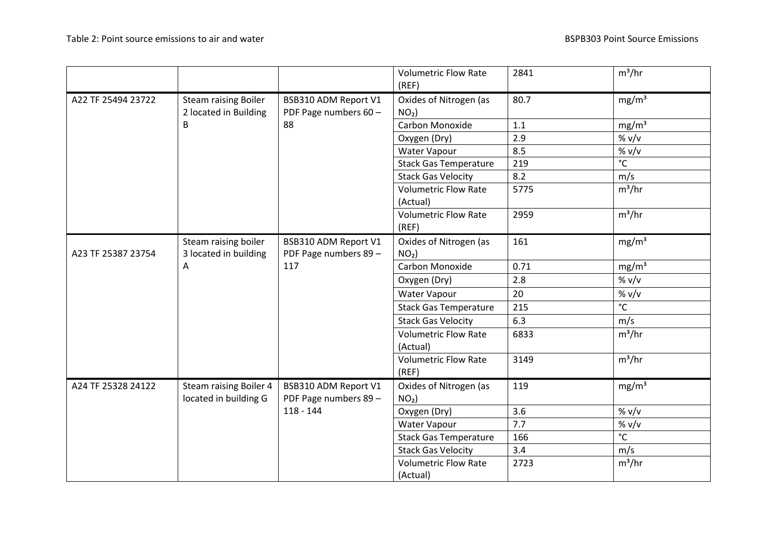|                    |                                                        |                                               | <b>Volumetric Flow Rate</b><br>(REF)    | 2841 | $m^3/hr$          |
|--------------------|--------------------------------------------------------|-----------------------------------------------|-----------------------------------------|------|-------------------|
| A22 TF 25494 23722 | <b>Steam raising Boiler</b>                            | BSB310 ADM Report V1                          | Oxides of Nitrogen (as                  | 80.7 | mg/m <sup>3</sup> |
|                    | 2 located in Building                                  | PDF Page numbers 60 -                         | $NO2$ )                                 |      |                   |
|                    | B                                                      | 88                                            | Carbon Monoxide                         | 1.1  | mg/m <sup>3</sup> |
|                    |                                                        |                                               | Oxygen (Dry)                            | 2.9  | % v/v             |
|                    |                                                        |                                               | Water Vapour                            | 8.5  | % v/v             |
|                    |                                                        |                                               | <b>Stack Gas Temperature</b>            | 219  | $^{\circ}$ C      |
|                    |                                                        |                                               | <b>Stack Gas Velocity</b>               | 8.2  | m/s               |
|                    |                                                        |                                               | <b>Volumetric Flow Rate</b><br>(Actual) | 5775 | $m^3/hr$          |
|                    |                                                        |                                               | <b>Volumetric Flow Rate</b><br>(REF)    | 2959 | $m^3/hr$          |
|                    | Steam raising boiler                                   | BSB310 ADM Report V1                          | Oxides of Nitrogen (as                  | 161  | mg/m <sup>3</sup> |
| A23 TF 25387 23754 | 3 located in building                                  | PDF Page numbers 89 -                         | $NO2$ )                                 |      |                   |
|                    | A                                                      | 117                                           | Carbon Monoxide                         | 0.71 | mg/m <sup>3</sup> |
|                    |                                                        |                                               | Oxygen (Dry)                            | 2.8  | % v/v             |
|                    |                                                        |                                               | Water Vapour                            | 20   | % v/v             |
|                    |                                                        |                                               | <b>Stack Gas Temperature</b>            | 215  | $^{\circ}$ C      |
|                    |                                                        |                                               | <b>Stack Gas Velocity</b>               | 6.3  | m/s               |
|                    |                                                        |                                               | <b>Volumetric Flow Rate</b><br>(Actual) | 6833 | $m^3/hr$          |
|                    |                                                        |                                               | <b>Volumetric Flow Rate</b><br>(REF)    | 3149 | $m^3/hr$          |
| A24 TF 25328 24122 | <b>Steam raising Boiler 4</b><br>located in building G | BSB310 ADM Report V1<br>PDF Page numbers 89 - | Oxides of Nitrogen (as<br>$NO2$ )       | 119  | mg/m <sup>3</sup> |
|                    |                                                        | $118 - 144$                                   | Oxygen (Dry)                            | 3.6  | % v/v             |
|                    |                                                        |                                               | Water Vapour                            | 7.7  | % v/v             |
|                    |                                                        |                                               | <b>Stack Gas Temperature</b>            | 166  | $^{\circ}$ C      |
|                    |                                                        |                                               | <b>Stack Gas Velocity</b>               | 3.4  | m/s               |
|                    |                                                        |                                               | <b>Volumetric Flow Rate</b><br>(Actual) | 2723 | $m^3/hr$          |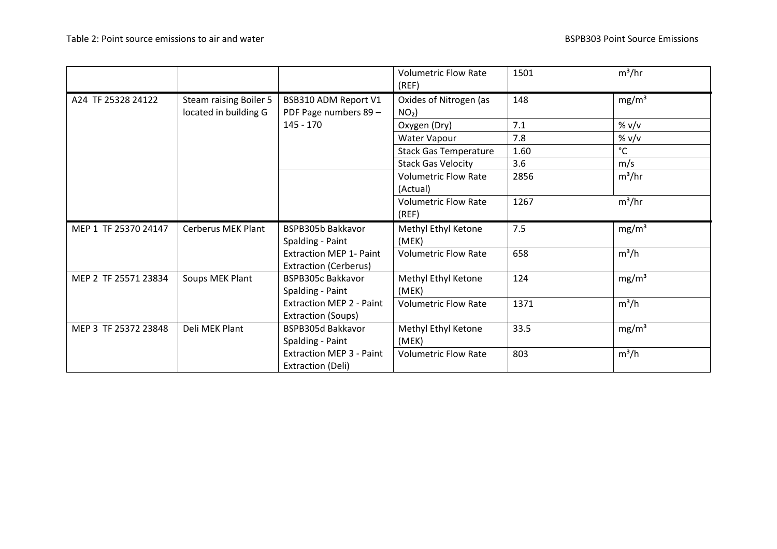|                      |                                                        |                                                                | <b>Volumetric Flow Rate</b><br>(REF)    | 1501 | $m^3/hr$          |
|----------------------|--------------------------------------------------------|----------------------------------------------------------------|-----------------------------------------|------|-------------------|
| A24 TF 25328 24122   | <b>Steam raising Boiler 5</b><br>located in building G | BSB310 ADM Report V1<br>PDF Page numbers 89 -                  | Oxides of Nitrogen (as<br>$NO2$ )       | 148  | mg/m <sup>3</sup> |
|                      |                                                        | $145 - 170$                                                    | Oxygen (Dry)                            | 7.1  | % v/v             |
|                      |                                                        |                                                                | Water Vapour                            | 7.8  | % v/v             |
|                      |                                                        |                                                                | <b>Stack Gas Temperature</b>            | 1.60 | $^{\circ}$ C      |
|                      |                                                        |                                                                | <b>Stack Gas Velocity</b>               | 3.6  | m/s               |
|                      |                                                        |                                                                | <b>Volumetric Flow Rate</b><br>(Actual) | 2856 | $m^3/hr$          |
|                      |                                                        |                                                                | <b>Volumetric Flow Rate</b><br>(REF)    | 1267 | $m^3/hr$          |
|                      |                                                        |                                                                |                                         |      |                   |
| MEP 1 TF 25370 24147 | Cerberus MEK Plant                                     | BSPB305b Bakkavor<br>Spalding - Paint                          | Methyl Ethyl Ketone<br>(MEK)            | 7.5  | mg/m <sup>3</sup> |
|                      |                                                        | <b>Extraction MEP 1- Paint</b><br><b>Extraction (Cerberus)</b> | <b>Volumetric Flow Rate</b>             | 658  | $m^3/h$           |
| MEP 2 TF 25571 23834 | Soups MEK Plant                                        | <b>BSPB305c Bakkavor</b><br>Spalding - Paint                   | Methyl Ethyl Ketone<br>(MEK)            | 124  | mg/m <sup>3</sup> |
|                      |                                                        | <b>Extraction MEP 2 - Paint</b><br>Extraction (Soups)          | <b>Volumetric Flow Rate</b>             | 1371 | $m^3/h$           |
| MEP 3 TF 25372 23848 | Deli MEK Plant                                         | BSPB305d Bakkavor<br>Spalding - Paint                          | Methyl Ethyl Ketone<br>(MEK)            | 33.5 | mg/m <sup>3</sup> |